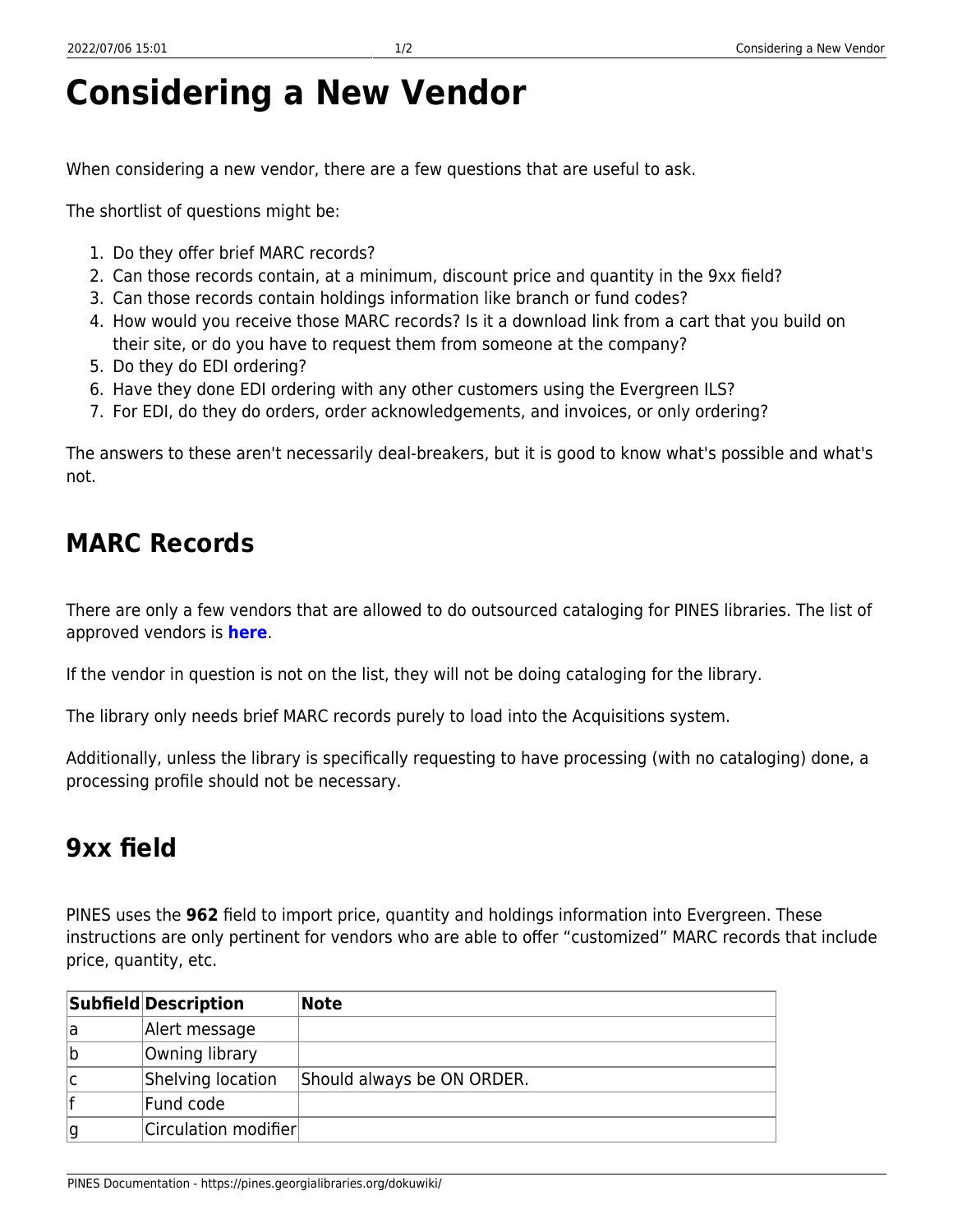## **Considering a New Vendor**

When considering a new vendor, there are a few questions that are useful to ask.

The shortlist of questions might be:

- 1. Do they offer brief MARC records?
- 2. Can those records contain, at a minimum, discount price and quantity in the 9xx field?
- 3. Can those records contain holdings information like branch or fund codes?
- 4. How would you receive those MARC records? Is it a download link from a cart that you build on their site, or do you have to request them from someone at the company?
- 5. Do they do EDI ordering?
- 6. Have they done EDI ordering with any other customers using the Evergreen ILS?
- 7. For EDI, do they do orders, order acknowledgements, and invoices, or only ordering?

The answers to these aren't necessarily deal-breakers, but it is good to know what's possible and what's not.

## **MARC Records**

There are only a few vendors that are allowed to do outsourced cataloging for PINES libraries. The list of approved vendors is **[here](https://pines.georgialibraries.org/dokuwiki/doku.php?id=cat:outsourcing_policies_and_procedures#current_pines_approved_vendors)**.

If the vendor in question is not on the list, they will not be doing cataloging for the library.

The library only needs brief MARC records purely to load into the Acquisitions system.

Additionally, unless the library is specifically requesting to have processing (with no cataloging) done, a processing profile should not be necessary.

## **9xx field**

PINES uses the **962** field to import price, quantity and holdings information into Evergreen. These instructions are only pertinent for vendors who are able to offer "customized" MARC records that include price, quantity, etc.

|    | Subfield Description | Note                       |
|----|----------------------|----------------------------|
| la | Alert message        |                            |
| ∣b | Owning library       |                            |
| ١c | Shelving location    | Should always be ON ORDER. |
|    | Fund code            |                            |
| g  | Circulation modifier |                            |